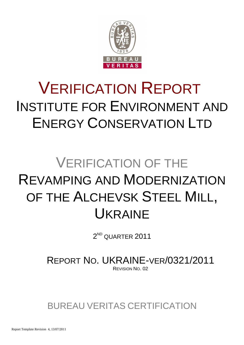

# VERIFICATION REPORT INSTITUTE FOR ENVIRONMENT AND ENERGY CONSERVATION LTD

## VERIFICATION OF THE REVAMPING AND MODERNIZATION OF THE ALCHEVSK STEEL MILL, UKRAINE

 $2^{\scriptscriptstyle\mathsf{ND}}$  QUARTER  $2011$ 

REPORT NO. UKRAINE-VER/0321/2011 REVISION NO. 02

BUREAU VERITAS CERTIFICATION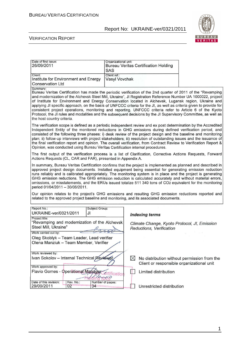

#### VERIFICATION REPORT

| Date of first issue:                                                                                                                                                                                                            | Organizational unit:                        |                                              |
|---------------------------------------------------------------------------------------------------------------------------------------------------------------------------------------------------------------------------------|---------------------------------------------|----------------------------------------------|
| 26/09/2011                                                                                                                                                                                                                      | <b>Bureau Veritas Certification Holding</b> |                                              |
|                                                                                                                                                                                                                                 | <b>SAS</b>                                  |                                              |
| Client:<br>Institute for Environment and Energy                                                                                                                                                                                 | Client ref.:<br>Vasyl Vovchak               |                                              |
| <b>Conservation Ltd</b>                                                                                                                                                                                                         |                                             |                                              |
| Summary:                                                                                                                                                                                                                        |                                             |                                              |
| Bureau Veritas Certification has made the periodic verification of the 2nd quarter of 2011 of the "Revamping                                                                                                                    |                                             |                                              |
| and modernization of the Alchevsk Steel Mill, Ukraine", Jl Registration Reference Number UA 1000022, project                                                                                                                    |                                             |                                              |
| of Institute for Environment and Energy Conservation located in Alchevsk, Lugansk region, Ukraine and                                                                                                                           |                                             |                                              |
| applying JI specific approach, on the basis of UNFCCC criteria for the JI, as well as criteria given to provide for<br>consistent project operations, monitoring and reporting. UNFCCC criteria refer to Article 6 of the Kyoto |                                             |                                              |
| Protocol, the JI rules and modalities and the subsequent decisions by the JI Supervisory Committee, as well as                                                                                                                  |                                             |                                              |
| the host country criteria.                                                                                                                                                                                                      |                                             |                                              |
| The verification scope is defined as a periodic independent review and ex post determination by the Accredited                                                                                                                  |                                             |                                              |
| Independent Entity of the monitored reductions in GHG emissions during defined verification period, and                                                                                                                         |                                             |                                              |
| consisted of the following three phases: i) desk review of the project design and the baseline and monitoring                                                                                                                   |                                             |                                              |
| plan; ii) follow-up interviews with project stakeholders; iii) resolution of outstanding issues and the issuance of                                                                                                             |                                             |                                              |
| the final verification report and opinion. The overall verification, from Contract Review to Verification Report &                                                                                                              |                                             |                                              |
| Opinion, was conducted using Bureau Veritas Certification internal procedures.                                                                                                                                                  |                                             |                                              |
| The first output of the verification process is a list of Clarification, Corrective Actions Requests, Forward                                                                                                                   |                                             |                                              |
| Actions Requests (CL, CAR and FAR), presented in Appendix A.                                                                                                                                                                    |                                             |                                              |
| In summary, Bureau Veritas Certification confirms that the project is implemented as planned and described in                                                                                                                   |                                             |                                              |
| approved project design documents. Installed equipment being essential for generating emission reduction                                                                                                                        |                                             |                                              |
| runs reliably and is calibrated appropriately. The monitoring system is in place and the project is generating                                                                                                                  |                                             |                                              |
| GHG emission reductions. The GHG emission reduction is calculated accurately and without material errors,                                                                                                                       |                                             |                                              |
| omissions, or misstatements, and the ERUs issued totalize 511 340 tons of CO2 equivalent for the monitoring                                                                                                                     |                                             |                                              |
| period 01/04/2011 - 30/06/2011.                                                                                                                                                                                                 |                                             |                                              |
| Our opinion relates to the project's GHG emissions and resulting GHG emission reductions reported and                                                                                                                           |                                             |                                              |
| related to the approved project baseline and monitoring, and its associated documents.                                                                                                                                          |                                             |                                              |
| Report No.:<br>Subject Group:                                                                                                                                                                                                   |                                             |                                              |
| UKRAINE-ver/0321/2011<br>JI                                                                                                                                                                                                     |                                             |                                              |
| Project title:                                                                                                                                                                                                                  | <b>Indexing terms</b>                       |                                              |
| "Revamping and modernization of the Alchevsk                                                                                                                                                                                    |                                             | Climate Change, Kyoto Protocol, JI, Emission |
| Steel Mill, Ukraine"                                                                                                                                                                                                            | Reductions, Verification                    |                                              |
| Work carried out by:                                                                                                                                                                                                            |                                             |                                              |
| Oleg Skoblyk - Team Leader, Lead verifier                                                                                                                                                                                       |                                             |                                              |
| Olena Manziuk - Team Member, Verifier                                                                                                                                                                                           |                                             |                                              |
|                                                                                                                                                                                                                                 |                                             |                                              |
| Work reviewed by:                                                                                                                                                                                                               |                                             |                                              |
| Ivan Sokolov - Internal Technical Reviewer                                                                                                                                                                                      | $\bowtie$                                   | No distribution without permission from the  |
|                                                                                                                                                                                                                                 |                                             | Client or responsible organizational unit    |
| Work approved by:                                                                                                                                                                                                               |                                             |                                              |
|                                                                                                                                                                                                                                 | Limited distribution                        |                                              |
| Flavio Gomes - Operational Manager                                                                                                                                                                                              |                                             |                                              |
|                                                                                                                                                                                                                                 | <b>Artification</b><br>NLO                  |                                              |
| Date of this revision:<br>Rev. No.:<br>Number of pages:<br>29/09/2011<br>02<br>34                                                                                                                                               | Unrestricted distribution                   |                                              |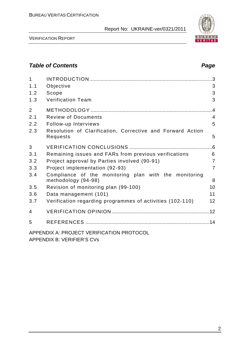

VERIFICATION REPORT

## **Table of Contents Page 2014**

| $\mathbf{1}$   |                                                                              | $\cdot$ 3      |
|----------------|------------------------------------------------------------------------------|----------------|
| 1.1            | Objective                                                                    | 3              |
| 1.2            | Scope                                                                        | 3              |
| 1.3            | <b>Verification Team</b>                                                     | 3              |
| $\overline{2}$ |                                                                              | .4             |
| 2.1            | <b>Review of Documents</b>                                                   | $\overline{4}$ |
| 2.2            | Follow-up Interviews                                                         | 5              |
| 2.3            | Resolution of Clarification, Corrective and Forward Action<br>Requests       | 5              |
| 3              |                                                                              |                |
| 3.1            | Remaining issues and FARs from previous verifications                        | 6              |
| 3.2            | Project approval by Parties involved (90-91)                                 | $\overline{7}$ |
| 3.3            | Project implementation (92-93)                                               | $\overline{7}$ |
| 3.4            | Compliance of the monitoring plan with the monitoring<br>methodology (94-98) | 8              |
| 3.5            | Revision of monitoring plan (99-100)                                         | 10             |
| 3.6            | Data management (101)                                                        | 11             |
| 3.7            | Verification regarding programmes of activities (102-110)                    | 12             |
| 4              |                                                                              |                |
| 5              |                                                                              |                |
|                | APPENDIX A: PROJECT VERIFICATION PROTOCOL                                    |                |

APPENDIX B: VERIFIER'S CVs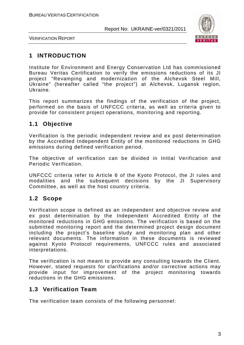

VERIFICATION REPORT

## **1 INTRODUCTION**

Institute for Environment and Energy Conservation Ltd has commissioned Bureau Veritas Certification to verify the emissions reductions of its JI project "Revamping and modernization of the Alchevsk Steel Mill, Ukraine" (hereafter called "the project") at Alchevsk, Lugansk region, Ukraine.

This report summarizes the findings of the verification of the project, performed on the basis of UNFCCC criteria, as well as criteria given to provide for consistent project operations, monitoring and reporting.

## **1.1 Objective**

Verification is the periodic independent review and ex post determination by the Accredited Independent Entity of the monitored reductions in GHG emissions during defined verification period.

The objective of verification can be divided in Initial Verification and Periodic Verification.

UNFCCC criteria refer to Article 6 of the Kyoto Protocol, the JI rules and modalities and the subsequent decisions by the JI Supervisory Committee, as well as the host country criteria.

## **1.2 Scope**

Verification scope is defined as an independent and objective review and ex post determination by the Independent Accredited Entity of the monitored reductions in GHG emissions. The verification is based on the submitted monitoring report and the determined project design document including the project's baseline study and monitoring plan and other relevant documents. The information in these documents is reviewed against Kyoto Protocol requirements, UNFCCC rules and associated interpretations.

The verification is not meant to provide any consulting towards the Client. However, stated requests for clarifications and/or corrective actions may provide input for improvement of the project monitoring towards reductions in the GHG emissions.

## **1.3 Verification Team**

The verification team consists of the following personnel: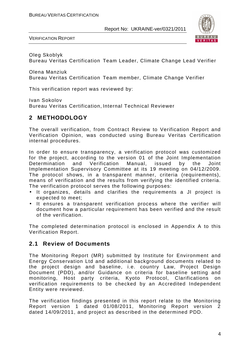

VERIFICATION REPORT

Oleg Skoblyk Bureau Veritas Certification Team Leader, Climate Change Lead Verifier

Olena Manziuk Bureau Veritas Certification Team member, Climate Change Verifier

This verification report was reviewed by:

Ivan Sokolov Bureau Veritas Certification, Internal Technical Reviewer

## **2 METHODOLOGY**

The overall verification, from Contract Review to Verification Report and Verification Opinion, was conducted using Bureau Veritas Certification internal procedures.

In order to ensure transparency, a verification protocol was customized for the project, according to the version 01 of the Joint Implementation Determination and Verification Manual, issued by the Joint Implementation Supervisory Committee at its 19 meeting on 04/12/2009. The protocol shows, in a transparent manner, criteria (requirements), means of verification and the results from verifying the identified criteria. The verification protocol serves the following purposes:

- It organizes, details and clarifies the requirements a JI project is expected to meet;
- It ensures a transparent verification process where the verifier will document how a particular requirement has been verified and the result of the verification.

The completed determination protocol is enclosed in Appendix A to this Verification Report.

## **2.1 Review of Documents**

The Monitoring Report (MR) submitted by Institute for Environment and Energy Conservation Ltd and additional background documents related to the project design and baseline, i.e. country Law, Project Design Document (PDD), and/or Guidance on criteria for baseline setting and monitoring, Host party criteria, Kyoto Protocol, Clarifications on verification requirements to be checked by an Accredited Independent Entity were reviewed.

The verification findings presented in this report relate to the Monitoring Report version 1 dated 01/08/2011, Monitoring Report version 2 dated 14/09/2011, and project as described in the determined PDD.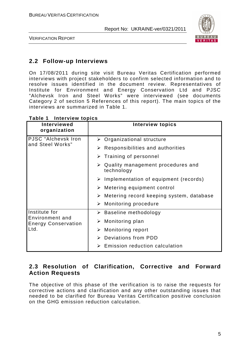

VERIFICATION REPORT

## **2.2 Follow-up Interviews**

On 17/08/2011 during site visit Bureau Veritas Certification performed interviews with project stakeholders to confirm selected information and to resolve issues identified in the document review. Representatives of Institute for Environment and Energy Conservation Ltd and PJSC "Alchevsk Iron and Steel Works" were interviewed (see documents Category 2 of section 5 References of this report). The main topics of the interviews are summarized in Table 1.

| <b>Interviewed</b><br>organization            | <b>Interview topics</b>                                          |
|-----------------------------------------------|------------------------------------------------------------------|
| PJSC "Alchevsk Iron                           | $\triangleright$ Organizational structure                        |
| and Steel Works"                              | $\triangleright$ Responsibilities and authorities                |
|                                               | $\triangleright$ Training of personnel                           |
|                                               | $\triangleright$ Quality management procedures and<br>technology |
|                                               | $\triangleright$ Implementation of equipment (records)           |
|                                               | $\triangleright$ Metering equipment control                      |
|                                               | $\triangleright$ Metering record keeping system, database        |
|                                               | $\triangleright$ Monitoring procedure                            |
| Institute for                                 | $\triangleright$ Baseline methodology                            |
| Environment and<br><b>Energy Conservation</b> | Monitoring plan<br>➤                                             |
| Ltd.                                          | Monitoring report<br>➤                                           |
|                                               | $\triangleright$ Deviations from PDD                             |
|                                               | Emission reduction calculation                                   |

#### **Table 1 Interview topics**

## **2.3 Resolution of Clarification, Corrective and Forward Action Requests**

The objective of this phase of the verification is to raise the requests for corrective actions and clarification and any other outstanding issues that needed to be clarified for Bureau Veritas Certification positive conclusion on the GHG emission reduction calculation.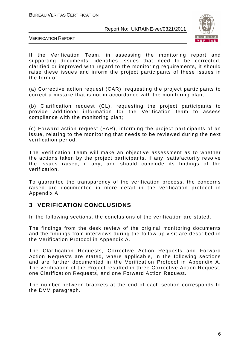

VERIFICATION REPORT

If the Verification Team, in assessing the monitoring report and supporting documents, identifies issues that need to be corrected, clarified or improved with regard to the monitoring requirements, it should raise these issues and inform the project participants of these issues in the form of:

(a) Corrective action request (CAR), requesting the project participants to correct a mistake that is not in accordance with the monitoring plan;

(b) Clarification request (CL), requesting the project participants to provide additional information for the Verification team to assess compliance with the monitoring plan;

(c) Forward action request (FAR), informing the project participants of an issue, relating to the monitoring that needs to be reviewed during the next verification period.

The Verification Team will make an objective assessment as to whether the actions taken by the project participants, if any, satisfactorily resolve the issues raised, if any, and should conclude its findings of the verification.

To guarantee the transparency of the verification process, the concerns raised are documented in more detail in the verification protocol in Appendix A.

## **3 VERIFICATION CONCLUSIONS**

In the following sections, the conclusions of the verification are stated.

The findings from the desk review of the original monitoring documents and the findings from interviews during the follow up visit are described in the Verification Protocol in Appendix A.

The Clarification Requests, Corrective Action Requests and Forward Action Requests are stated, where applicable, in the following sections and are further documented in the Verification Protocol in Appendix A. The verification of the Project resulted in three Corrective Action Request, one Clarification Requests, and one Forward Action Request.

The number between brackets at the end of each section corresponds to the DVM paragraph.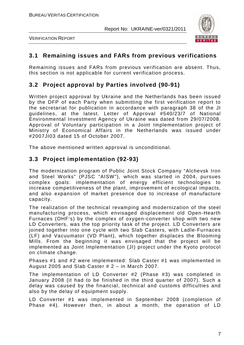

VERIFICATION REPORT

## **3.1 Remaining issues and FARs from previous verifications**

Remaining issues and FARs from previous verification are absent. Thus, this section is not applicable for current verification process.

## **3.2 Project approval by Parties involved (90-91)**

Written project approval by Ukraine and the Netherlands has been issued by the DFP of each Party when submitting the first verification report to the secretariat for publication in accordance with paragraph 38 of the JI guidelines, at the latest. Letter of Approval #540/23/7 of National Environmental Investment Agency of Ukraine was dated from 29/07/2008. Approval of Voluntary participation in a Joint Implementation project of Ministry of Economical Affairs in the Netherlands was issued under #2007JI03 dated 15 of October 2007.

The above mentioned written approval is unconditional.

## **3.3 Project implementation (92-93)**

The modernization program of Public Joint Stock Company "Alchevsk Iron and Steel Works" (PJSC "AISW"), which was started in 2004, pursues complex goals: implementation of energy efficient technologies to increase competitiveness of the plant, improvement of ecological impacts, and also expansion of market presence due to increase of manufacture capacity.

The realization of the technical revamping and modernization of the steel manufacturing process, which envisaged displacement old Open-Hearth Furnaces (OHF's) by the complex of oxygen-converter shop with two new LD Converters, was the top priority task of the project. LD Converters are joined together into one cycle with two Slab Casters, with Ladle-Furnaces (LF) and Vacuumator (VD Plant), which together displaces the Blooming Mills. From the beginning it was envisaged that the project will be implemented as Joint Implementation (JI) project under the Kyoto protocol on climate change.

Phases #1 and #2 were implemented: Slab Caster #1 was implemented in August 2005 and Slab Caster # 2 – in March 2007.

The implementation of LD Converter #2 (Phase #3) was completed in January 2008 (it had to be finished in the third quarter of 2007). Such a delay was caused by the financial, technical and customs difficulties and also by the delay of equipment supply.

LD Converter #1 was implemented in September 2008 (completion of Phase #4). However then, in about a month, the operation of LD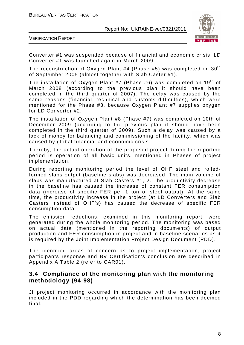

VERIFICATION REPORT

Converter #1 was suspended because of financial and economic crisis. LD Converter #1 was launched again in March 2009.

The reconstruction of Oxygen Plant #4 (Phase #5) was completed on  $30<sup>th</sup>$ of September 2005 (almost together with Slab Caster #1).

The installation of Oxygen Plant #7 (Phase #6) was completed on  $19<sup>th</sup>$  of March 2008 (according to the previous plan it should have been completed in the third quarter of 2007). The delay was caused by the same reasons (financial, technical and customs difficulties), which were mentioned for the Phase #3, because Oxygen Plant #7 supplies oxygen for LD Converter #2.

The installation of Oxygen Plant #8 (Phase #7) was completed on 10th of December 2009 (according to the previous plan it should have been completed in the third quarter of 2009). Such a delay was caused by a lack of money for balancing and commissioning of the facility, which was caused by global financial and economic crisis.

Thereby, the actual operation of the proposed project during the reporting period is operation of all basic units, mentioned in Phases of project implementation.

During reporting monitoring period the level of OHF steel and rolledformed slabs output (baseline slabs) was decreased. The main volume of slabs was manufactured at Slab Casters #1, 2. The productivity decrease in the baseline has caused the increase of constant FER consumption data (increase of specific FER per 1 ton of steel output). At the same time, the productivity increase in the project (at LD Converters and Slab Casters instead of OHF's) has caused the decrease of specific FER consumption data.

The emission reductions, examined in this monitoring report, were generated during the whole monitoring period. The monitoring was based on actual data (mentioned in the reporting documents) of output production and FER consumption in project and in baseline scenarios as it is required by the Joint Implementation Project Design Document (PDD).

The identified areas of concern as to project implementation, project participants response and BV Certification's conclusion are described in Appendix A Table 2 (refer to CAR01).

## **3.4 Compliance of the monitoring plan with the monitoring methodology (94-98)**

JI project monitoring occurred in accordance with the monitoring plan included in the PDD regarding which the determination has been deemed final.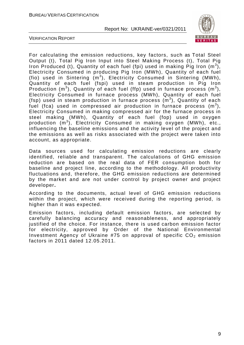

VERIFICATION REPORT

For calculating the emission reductions, key factors, such as Total Steel Output (t), Total Pig Iron Input into Steel Making Process (t), Total Pig Iron Produced (t), Quantity of each fuel (fpi) used in making Pig Iron  $(m^3)$ , Electricity Consumed in producing Pig Iron (MWh), Quantity of each fuel (fio) used in Sintering  $(m^3)$ , Electricity Consumed in Sintering (MWh), Quantity of each fuel (fspi) used in steam production in Pig Iron Production (m<sup>3</sup>), Quantity of each fuel (ffp) used in furnace process (m<sup>3</sup>), Electricity Consumed in furnace process (MWh), Quantity of each fuel (fsp) used in steam production in furnace process  $(m^3)$ , Quantity of each fuel (fca) used in compressed air production in furnace process  $(m^3)$ , Electricity Consumed in making compressed air for the furnace process in steel making (MWh), Quantity of each fuel (fop) used in oxygen production (m<sup>3</sup>), Electricity Consumed in making oxygen (MWh), etc., influencing the baseline emissions and the activity level of the project and the emissions as well as risks associated with the project were taken into account, as appropriate.

Data sources used for calculating emission reductions are clearly identified, reliable and transparent. The calculations of GHG emission reduction are based on the real data of FER consumption both for baseline and project line, according to the methodology. All productivity fluctuations and, therefore, the GHG emission reductions are determined by the market and are not under control by project owner and project developer**.** 

According to the documents, actual level of GHG emission reductions within the project, which were received during the reporting period, is higher than it was expected.

Emission factors, including default emission factors, are selected by carefully balancing accuracy and reasonableness, and appropriately justified of the choice. For instance, there is used carbon emission factor for electricity, approved by Order of the National Environmental Investment Agency of Ukraine  $#75$  on approval of specific  $CO<sub>2</sub>$  emission factors in 2011 dated 12.05.2011.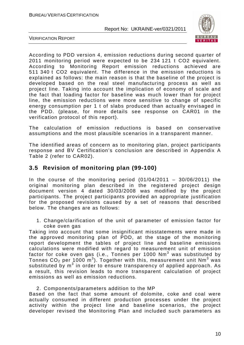

VERIFICATION REPORT

According to PDD version 4, emission reductions during second quarter of 2011 monitoring period were expected to be 234 121 t CO2 equivalent. According to Monitoring Report emission reductions achieved are 511 340 t CO2 equivalent. The difference in the emission reductions is explained as follows: the main reason is that the baseline of the project is developed based on the real steel manufacturing process as well as project line. Taking into account the implication of economy of scale and the fact that loading factor for baseline was much lower than for project line, the emission reductions were more sensitive to change of specific energy consumption per 1 t of slabs produced than actually envisaged in the PDD. (please, for more details see response on CAR01 in the verification protocol of this report).

The calculation of emission reductions is based on conservative assumptions and the most plausible scenarios in a transparent manner.

The identified areas of concern as to monitoring plan, project participants response and BV Certification's conclusion are described in Appendix A Table 2 (refer to CAR02).

## **3.5 Revision of monitoring plan (99-100)**

In the course of the monitoring period  $(01/04/2011 - 30/06/2011)$  the original monitoring plan described in the registered project design document version 4 dated 30/03/2008 was modified by the project participants. The project participants provided an appropriate justification for the proposed revisions caused by a set of reasons that described below. The changes are as follows:

1. Change/clarification of the unit of parameter of emission factor for coke oven gas

Taking into account that some insignificant misstatements were made in the approved monitoring plan of PDD, at the stage of the monitoring report development the tables of project line and baseline emissions calculations were modified with regard to measurement unit of emission factor for coke oven gas (i.e., Tonnes per 1000 Nm<sup>3</sup> was substituted by Tonnes CO<sub>2</sub> per 1000 m<sup>3</sup>). Together with this, measurement unit Nm<sup>3</sup> was substituted by  $m^3$  in order to ensure transparency of applied approach. As a result, this revision leads to more transparent calculation of project emissions as well as emission reductions.

#### 2. Components/parameters addition to the MP

Based on the fact that some amount of dolomite, coke and coal were actually consumed in different production processes under the project activity within the project line and baseline scenarios, the project developer revised the Monitoring Plan and included such parameters as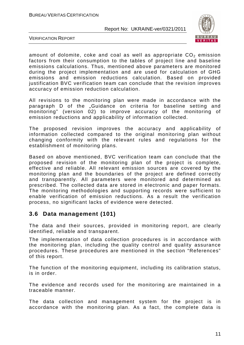

VERIFICATION REPORT

amount of dolomite, coke and coal as well as appropriate  $CO<sub>2</sub>$  emission factors from their consumption to the tables of project line and baseline emissions calculations. Thus, mentioned above parameters are monitored during the project implementation and are used for calculation of GHG emissions and emission reductions calculation. Based on provided justification BVC verification team can conclude that the revision improves accuracy of emission reduction calculation.

All revisions to the monitoring plan were made in accordance with the paragraph D of the "Guidance on criteria for baseline setting and monitoring" (version 02) to improve accuracy of the monitoring of emission reductions and applicability of information collected.

The proposed revision improves the accuracy and applicability of information collected compared to the original monitoring plan without changing conformity with the relevant rules and regulations for the establishment of monitoring plans.

Based on above mentioned, BVC verification team can conclude that the proposed revision of the monitoring plan of the project is complete, effective and reliable. All relevant emission sources are covered by the monitoring plan and the boundaries of the project are defined correctly and transparently. All parameters were monitored and determined as prescribed. The collected data are stored in electronic and paper formats. The monitoring methodologies and supporting records were sufficient to enable verification of emission reductions. As a result the verification process, no significant lacks of evidence were detected.

## **3.6 Data management (101)**

The data and their sources, provided in monitoring report, are clearly identified, reliable and transparent.

The implementation of data collection procedures is in accordance with the monitoring plan, including the quality control and quality assurance procedures. These procedures are mentioned in the section "References" of this report.

The function of the monitoring equipment, including its calibration status, is in order.

The evidence and records used for the monitoring are maintained in a traceable manner.

The data collection and management system for the project is in accordance with the monitoring plan. As a fact, the complete data is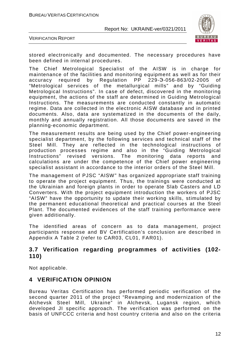

VERIFICATION REPORT

stored electronically and documented. The necessary procedures have been defined in internal procedures.

The Chief Metrological Specialist of the AISW is in charge for maintenance of the facilities and monitoring equipment as well as for their accuracy required by Regulation PP 229-Э-056-863/02-2005 of "Metrological services of the metallurgical mills" and by "Guiding Metrological Instructions". In case of defect, discovered in the monitoring equipment, the actions of the staff are determined in Guiding Metrological Instructions. The measurements are conducted constantly in automatic regime. Data are collected in the electronic AISW database and in printed documents. Also, data are systematized in the documents of the daily, monthly and annually registration. All those documents are saved in the planning-economic department.

The measurement results are being used by the Chief power-engineering specialist department, by the following services and technical staff of the Steel Mill. They are reflected in the technological instructions of production processes regime and also in the "Guiding Metrological Instructions" revised versions. The monitoring data reports and calculations are under the competence of the Chief power engineering specialist assistant in accordance to the interior orders of the Steel Mill.

The management of PJSC "AISW" has organized appropriate staff training to operate the project equipment. Thus, the trainings were conducted at the Ukrainian and foreign plants in order to operate Slab Casters and LD Converters. With the project equipment introduction the workers of PJSC "AISW" have the opportunity to update their working skills, stimulated by the permanent educational theoretical and practical courses at the Steel Plant. The documented evidences of the staff training performance were given additionally.

The identified areas of concern as to data management, project participants response and BV Certification's conclusion are described in Appendix A Table 2 (refer to CAR03, CL01, FAR01).

## **3.7 Verification regarding programmes of activities (102- 110)**

Not applicable.

## **4 VERIFICATION OPINION**

Bureau Veritas Certification has performed periodic verification of the second quarter 2011 of the project "Revamping and modernization of the Alchevsk Steel Mill, Ukraine" in Alchevsk, Lugansk region, which developed JI specific approach. The verification was performed on the basis of UNFCCC criteria and host country criteria and also on the criteria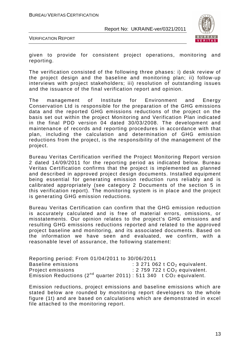

VERIFICATION REPORT

given to provide for consistent project operations, monitoring and reporting.

The verification consisted of the following three phases: i) desk review of the project design and the baseline and monitoring plan; ii) follow-up interviews with project stakeholders; iii) resolution of outstanding issues and the issuance of the final verification report and opinion.

The management of Institute for Environment and Energy Conservation Ltd is responsible for the preparation of the GHG emissions data and the reported GHG emissions reductions of the project on the basis set out within the project Monitoring and Verification Plan indicated in the final PDD version 04 dated 30/03/2008. The development and maintenance of records and reporting procedures in accordance with that plan, including the calculation and determination of GHG emission reductions from the project, is the responsibility of the management of the project.

Bureau Veritas Certification verified the Project Monitoring Report version 2 dated 14/09/2011 for the reporting period as indicated below. Bureau Veritas Certification confirms that the project is implemented as planned and described in approved project design documents. Installed equipment being essential for generating emission reduction runs reliably and is calibrated appropriately (see category 2 Documents of the section 5 in this verification report). The monitoring system is in place and the project is generating GHG emission reductions.

Bureau Veritas Certification can confirm that the GHG emission reduction is accurately calculated and is free of material errors, omissions, or misstatements. Our opinion relates to the project's GHG emissions and resulting GHG emissions reductions reported and related to the approved project baseline and monitoring, and its associated documents. Based on the information we have seen and evaluated, we confirm, with a reasonable level of assurance, the following statement:

Reporting period: From 01/04/2011 to 30/06/2011 Baseline emissions  $\overline{\phantom{a}}$  : 3 271 062 t  $CO<sub>2</sub>$  equivalent. Project emissions  $\qquad \qquad : 2\,759\,722 \ t \ CO_2$  equivalent. Emission Reductions ( $2^{nd}$  quarter 2011) : 511 340 t CO<sub>2</sub> equivalent.

Emission reductions, project emissions and baseline emissions which are stated below are rounded by monitoring report developers to the whole figure (1t) and are based on calculations which are demonstrated in excel file attached to the monitoring report.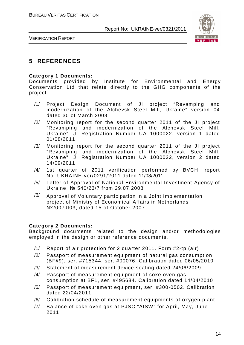

VERIFICATION REPORT

## **5 REFERENCES**

#### **Category 1 Documents:**

Documents provided by Institute for Environmental and Energy Conservation Ltd that relate directly to the GHG components of the project.

- /1/ Project Design Document of JI project "Revamping and modernization of the Alchevsk Steel Mill, Ukraine" version 04 dated 30 of March 2008
- /2/ Monitoring report for the second quarter 2011 of the JI project "Revamping and modernization of the Alchevsk Steel Mill, Ukraine", JI Registration Number UA 1000022, version 1 dated 01/08/2011
- /3/ Monitoring report for the second quarter 2011 of the JI project "Revamping and modernization of the Alchevsk Steel Mill, Ukraine", JI Registration Number UA 1000022, version 2 dated 14/09/2011
- /4/ 1st quarter of 2011 verification performed by BVCH, report No. UKRAINE-ver/0291/2011 dated 11/08/2011
- /5/ Letter of Approval of National Environmental Investment Agency of Ukraine, № 540/23/7 from 29.07.2008
- $\frac{16}{10}$  Approval of Voluntary participation in a Joint Implementation project of Ministry of Economical Affairs in Netherlands №2007JI03, dated 15 of October 2007

#### **Category 2 Documents:**

Background documents related to the design and/or methodologies employed in the design or other reference documents.

- /1/ Report of air protection for 2 quarter 2011. Form #2-tp (air)
- /2/ Passport of measurement equipment of natural gas consumption (BF#9), ser. #715344, ser. #00076. Calibration dated 06/05/2010
- /3/ Statement of measurement device sealing dated 24/06/2009
- /4/ Passport of measurement equipment of coke oven gas consumption at BF1, ser. #495684. Calibration dated 14/04/2010
- /5/ Passport of measurement equipment, ser. #300-0502. Calibration dated 22/04/2011
- /6/ Calibration schedule of measurement equipments of oxygen plant.
- /7/ Balance of coke oven gas at PJSC "AISW" for April, May, June 2011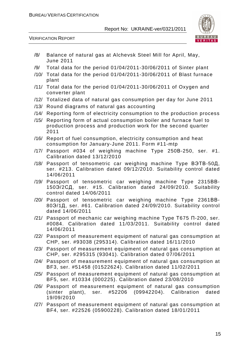

VERIFICATION REPORT

- /8/ Balance of natural gas at Alchevsk Steel Mill for April, May, June 2011
- /9/ Total data for the period 01/04/2011-30/06/2011 of Sinter plant
- /10/ Total data for the period 01/04/2011-30/06/2011 of Blast furnace plant
- /11/ Total data for the period 01/04/2011-30/06/2011 of Oxygen and converter plant
- /12/ Totalized data of natural gas consumption per day for June 2011
- /13/ Round diagrams of natural gas accounting
- /14/ Reporting form of electricity consumption to the production process
- /15/ Reporting form of actual consumption boiler and furnace fuel to production process and production work for the second quarter 2011
- /16/ Report of fuel consumption, electricity consumption and heat consumption for January-June 2011. Form #11-mtp
- /17/ Passport #034 of weighing machine Type 250В-250, ser. #1. Calibration dated 13/12/2010
- /18/ Passport of tensometric car weighing machine Type ВЭТВ-50Д, ser. #213. Calibration dated 09/12/2010. Suitability control dated 14/06/2011
- /19/ Passport of tensometric car weighing machine Type 2315ВВ-150Э/2СД, ser. #15. Calibration dated 24/09/2010. Suitability control dated 14/06/2011
- /20/ Passport of tensometric car weighing machine Type 2361ВВ-80Э/1Д, ser. #61. Calibration dated 24/09/2010. Suitability control dated 14/06/2011
- /21/ Passport of mechanic car weighing machine Type Т675 П-200, ser. #0084. Calibration dated 11/03/2011. Suitability control dated 14/06/2011
- /22/ Passport of measurement equipment of natural gas consumption at CHP, ser. #93038 (295314). Calibration dated 16/11/2010
- /23/ Passport of measurement equipment of natural gas consumption at CHP, ser. #295315 (93041). Calibration dated 07/06/2011
- /24/ Passport of measurement equipment of natural gas consumption at BF3, ser. #51458 (01522624). Calibration dated 11/02/2011
- /25/ Passport of measurement equipment of natural gas consumption at BF5, ser. #10334 (000225). Calibration dated 23/08/2010
- /26/ Passport of measurement equipment of natural gas consumption (sinter plant), ser. #52206 (09942204). Calibration dated 19/09/2010
- /27/ Passport of measurement equipment of natural gas consumption at BF4, ser. #22526 (05900228). Calibration dated 18/01/2011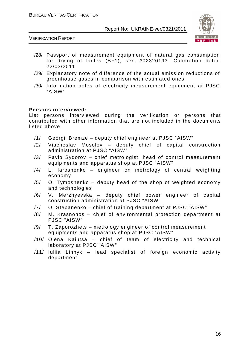

VERIFICATION REPORT

- /28/ Passport of measurement equipment of natural gas consumption for drying of ladles (BF1), ser. #02320193. Calibration dated 22/03/2011
- /29/ Explanatory note of difference of the actual emission reductions of greenhouse gases in comparison with estimated ones
- /30/ Information notes of electricity measurement equipment at PJSC "AISW"

#### **Persons interviewed:**

List persons interviewed during the verification or persons that contributed with other information that are not included in the documents listed above.

- /1/ Georgii Bremze deputy chief engineer at PJSC "AISW"
- /2/ Viacheslav Mosolov deputy chief of capital construction administration at PJSC "AISW"
- /3/ Pavlo Sydorov chief metrologist, head of control measurement equipments and apparatus shop at PJSC "AISW"
- /4/ L. Iaroshenko engineer on metrology of central weighting economy
- /5/ O. Tymoshenko deputy head of the shop of weighted economy and technologies
- /6/ V. Merzhyevska deputy chief power engineer of capital construction administration at PJSC "AISW"
- /7/ O. Stepanenko chief of training department at PJSC "AISW"
- /8/ M. Krasnonos chief of environmental protection department at PJSC "AISW"
- /9/ T. Zaporozhets metrology engineer of control measurement equipments and apparatus shop at PJSC "AISW"
- /10/ Olena Kaiutsa chief of team of electricity and technical laboratory at PJSC "AISW"
- /11/ Iuliia Linnyk lead specialist of foreign economic activity department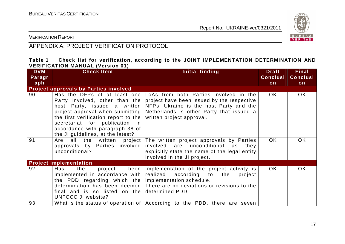

VERIFICATION REPORT

## APPENDIX A: PROJECT VERIFICATION PROTOCOL

#### **Table 1 Check list for verification, according to the JOINT IMPLEMENTATION DETERMINATION AND VERIFICATION MANUAL (Version 01)**

| <b>DVM</b> | <b>Check Item</b>                            | Initial finding                                                                  | <b>Draft</b>    | <b>Final</b>    |
|------------|----------------------------------------------|----------------------------------------------------------------------------------|-----------------|-----------------|
| Paragr     |                                              |                                                                                  | <b>Conclusi</b> | <b>Conclusi</b> |
| aph        |                                              |                                                                                  | on              | on              |
|            | <b>Project approvals by Parties involved</b> |                                                                                  |                 |                 |
| 90         | Has the DFPs of at least one                 | LoAs from both Parties involved in the                                           | OK.             | OK.             |
|            | Party involved, other than the               | project have been issued by the respective                                       |                 |                 |
|            | host Party, issued a written                 | NFPs. Ukraine is the host Party and the                                          |                 |                 |
|            | project approval when submitting             | Netherlands is other Party that issued a                                         |                 |                 |
|            | the first verification report to the         | written project approval.                                                        |                 |                 |
|            | secretariat for publication in               |                                                                                  |                 |                 |
|            | accordance with paragraph 38 of              |                                                                                  |                 |                 |
|            | the JI guidelines, at the latest?            |                                                                                  |                 |                 |
| 91         | all<br>the written project<br>Are            | The written project approvals by Parties                                         | OK.             | <b>OK</b>       |
|            | approvals by Parties involved                | involved are unconditional<br>as<br>they                                         |                 |                 |
|            | unconditional?                               | explicitly state the name of the legal entity                                    |                 |                 |
|            |                                              | involved in the JI project.                                                      |                 |                 |
|            | <b>Project implementation</b>                |                                                                                  |                 |                 |
| 92         | been<br>Has<br>the<br>project                | Implementation of the project activity is                                        | OK.             | <b>OK</b>       |
|            | implemented in accordance with               | realized according to the<br>project                                             |                 |                 |
|            | the PDD regarding which the                  | implementation schedule.                                                         |                 |                 |
|            |                                              | determination has been deemed There are no deviations or revisions to the        |                 |                 |
|            | final and is so listed on the                | determined PDD.                                                                  |                 |                 |
|            | UNFCCC JI website?                           |                                                                                  |                 |                 |
| 93         |                                              | What is the status of operation of $\vert$ According to the PDD, there are seven |                 |                 |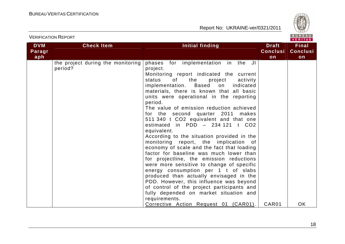

## VERIFICATION REPORT

| <b>DVM</b><br>Paragr | <b>Check Item</b>                            | Initial finding                                                                                                                                                                                                                                                                                                                                                                                                                                                                                                                                                                                                                                                                                                                                                                                                                                                                                                                                                                    | <b>Draft</b><br><b>Conclusi</b> | <b>Final</b><br><b>Conclusi</b> |
|----------------------|----------------------------------------------|------------------------------------------------------------------------------------------------------------------------------------------------------------------------------------------------------------------------------------------------------------------------------------------------------------------------------------------------------------------------------------------------------------------------------------------------------------------------------------------------------------------------------------------------------------------------------------------------------------------------------------------------------------------------------------------------------------------------------------------------------------------------------------------------------------------------------------------------------------------------------------------------------------------------------------------------------------------------------------|---------------------------------|---------------------------------|
| aph                  |                                              |                                                                                                                                                                                                                                                                                                                                                                                                                                                                                                                                                                                                                                                                                                                                                                                                                                                                                                                                                                                    | on                              | on                              |
|                      | the project during the monitoring<br>period? | phases for implementation in the JI<br>project.<br>Monitoring report indicated the current<br>status<br>of the project<br>activity<br>Based<br>implementation.<br>indicated<br>on<br>materials, there is known that all basic<br>units were operational in the reporting<br>period.<br>The value of emission reduction achieved<br>for the second quarter 2011 makes<br>511 340 t CO2 equivalent and that one<br>estimated in $PDD - 234121$ t $CO2$<br>equivalent.<br>According to the situation provided in the<br>monitoring report, the implication of<br>economy of scale and the fact that loading<br>factor for baseline was much lower than<br>for projectline, the emission reductions<br>were more sensitive to change of specific<br>energy consumption per 1 t of slabs<br>produced than actually envisaged in the<br>PDD. However, this influence was beyond<br>of control of the project participants and<br>fully depended on market situation and<br>requirements. |                                 |                                 |
|                      |                                              | Corrective Action Request 01 (CAR01).                                                                                                                                                                                                                                                                                                                                                                                                                                                                                                                                                                                                                                                                                                                                                                                                                                                                                                                                              | CAR01                           | <b>OK</b>                       |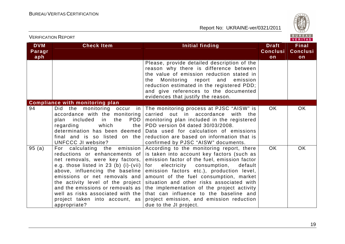

|                             | <b>VERIFICATION REPORT</b>                                                                                                                                                                                                                                                                                                                                                             |                                                                                                                                                                                                                                                                                                                                                                                                                                                                                            | <b>BUREAU</b><br>VERITAS              |                                       |
|-----------------------------|----------------------------------------------------------------------------------------------------------------------------------------------------------------------------------------------------------------------------------------------------------------------------------------------------------------------------------------------------------------------------------------|--------------------------------------------------------------------------------------------------------------------------------------------------------------------------------------------------------------------------------------------------------------------------------------------------------------------------------------------------------------------------------------------------------------------------------------------------------------------------------------------|---------------------------------------|---------------------------------------|
| <b>DVM</b><br>Paragr<br>aph | <b>Check Item</b>                                                                                                                                                                                                                                                                                                                                                                      | <b>Initial finding</b>                                                                                                                                                                                                                                                                                                                                                                                                                                                                     | <b>Draft</b><br><b>Conclusi</b><br>on | <b>Final</b><br><b>Conclusi</b><br>on |
|                             |                                                                                                                                                                                                                                                                                                                                                                                        | Please, provide detailed description of the<br>reason why there is difference between<br>the value of emission reduction stated in<br>Monitoring report and<br>emission<br>the.<br>reduction estimated in the registered PDD;<br>and give references to the documented<br>evidences that justify the reason.                                                                                                                                                                               |                                       |                                       |
|                             | <b>Compliance with monitoring plan</b>                                                                                                                                                                                                                                                                                                                                                 |                                                                                                                                                                                                                                                                                                                                                                                                                                                                                            |                                       |                                       |
| 94                          | Did the monitoring occur in<br>accordance with the monitoring<br><b>PDD</b><br>plan included<br>in the<br>regarding<br>which<br>the<br>determination has been deemed<br>final and is so listed on the<br><b>UNFCCC JI website?</b>                                                                                                                                                     | The monitoring process at PJSC "AISW" is<br>carried<br>out in accordance<br>with<br>the<br>monitoring plan included in the registered<br>PDD version 04 dated 30/03/2008.<br>Data used for calculation of emissions<br>reduction are based on information that is<br>confirmed by PJSC "AISW" documents.                                                                                                                                                                                   | OK.                                   | <b>OK</b>                             |
| 95(a)                       | emission<br>For calculating the<br>reductions or enhancements of<br>net removals, were key factors,<br>e.g. those listed in 23 (b) $(i)$ - $(vii)$<br>above, influencing the baseline<br>emissions or net removals and<br>the activity level of the project<br>and the emissions or removals as<br>well as risks associated with the<br>project taken into account, as<br>appropriate? | According to the monitoring report, there<br>is taken into account key factors (such as<br>emission factor of the fuel, emission factor<br>electricity<br>consumption,<br>default<br>for<br>emission factors etc.), production level,<br>amount of the fuel consumption, market<br>situation and other risks associated with<br>the implementation of the project activity<br>that can influence to the baseline and<br>project emission, and emission reduction<br>due to the JI project. | <b>OK</b>                             | <b>OK</b>                             |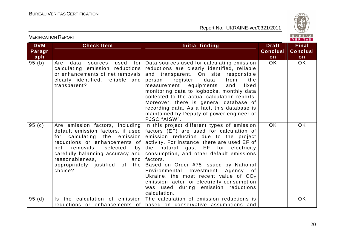

| <b>VERIFICATION REPORT</b>  |                                                                                                                                                                                                                                                            |                                                                                                                                                                                                                                                                                                                                                                                                                                                                                                                                                          | BUREAU<br><b>VERITAS</b>              |                                       |
|-----------------------------|------------------------------------------------------------------------------------------------------------------------------------------------------------------------------------------------------------------------------------------------------------|----------------------------------------------------------------------------------------------------------------------------------------------------------------------------------------------------------------------------------------------------------------------------------------------------------------------------------------------------------------------------------------------------------------------------------------------------------------------------------------------------------------------------------------------------------|---------------------------------------|---------------------------------------|
| <b>DVM</b><br>Paragr<br>aph | <b>Check Item</b>                                                                                                                                                                                                                                          | Initial finding                                                                                                                                                                                                                                                                                                                                                                                                                                                                                                                                          | <b>Draft</b><br><b>Conclusi</b><br>on | <b>Final</b><br><b>Conclusi</b><br>on |
| 95(b)                       | data<br>used<br>for I<br>Are<br>sources<br>calculating emission reductions<br>or enhancements of net removals<br>clearly identified, reliable and<br>transparent?                                                                                          | Data sources used for calculating emission<br>reductions are clearly identified, reliable<br>and transparent. On site<br>responsible<br>data<br>register<br>from<br>the<br>person<br>equipments<br>fixed<br>measurement<br>and<br>monitoring data to logbooks, monthly data<br>collected to the actual calculation reports.<br>Moreover, there is general database of<br>recording data. As a fact, this database is<br>maintained by Deputy of power engineer of<br>PJSC "AISW".                                                                        | OK.                                   | OK                                    |
| 95(c)                       | Are emission factors, including<br>calculating<br>the<br>emission<br>for<br>reductions or enhancements of<br>removals,<br>selected<br>net<br>by<br>carefully balancing accuracy and<br>reasonableness.<br>and<br>appropriately justified of the<br>choice? | In this project different types of emission<br>default emission factors, if used $ $ factors (EF) are used for calculation of<br>emission reduction due to the project<br>activity. For instance, there are used EF of<br>the natural gas, EF for<br>electricity<br>consumption, and other default emissions<br>factors.<br>Based on Order #75 issued by National<br>Environmental Investment Agency of<br>Ukraine, the most recent value of $CO2$<br>emission factor for electricity consumption<br>was used during emission reductions<br>calculation. | OK.                                   | <b>OK</b>                             |
| 95(d)                       |                                                                                                                                                                                                                                                            | Is the calculation of emission The calculation of emission reductions is<br>reductions or enhancements of based on conservative assumptions and                                                                                                                                                                                                                                                                                                                                                                                                          |                                       | OK                                    |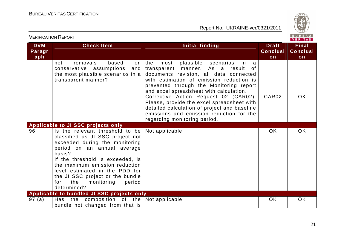

| <b>VERIFICATION REPORT</b>  |                                                                                                                                                                                                                                                                                                                                                 |                                                                                                                                                                                                                                                                                                                                                                                                                                                                                                |                                       | BUREAU<br><b>VERITAS</b>              |
|-----------------------------|-------------------------------------------------------------------------------------------------------------------------------------------------------------------------------------------------------------------------------------------------------------------------------------------------------------------------------------------------|------------------------------------------------------------------------------------------------------------------------------------------------------------------------------------------------------------------------------------------------------------------------------------------------------------------------------------------------------------------------------------------------------------------------------------------------------------------------------------------------|---------------------------------------|---------------------------------------|
| <b>DVM</b><br>Paragr<br>aph | <b>Check Item</b>                                                                                                                                                                                                                                                                                                                               | Initial finding                                                                                                                                                                                                                                                                                                                                                                                                                                                                                | <b>Draft</b><br><b>Conclusi</b><br>on | <b>Final</b><br><b>Conclusi</b><br>on |
|                             | removals<br>based<br>net<br>on<br>conservative assumptions<br>and<br>the most plausible scenarios in a<br>transparent manner?                                                                                                                                                                                                                   | the<br>plausible scenarios<br>most<br>in<br>a<br>As a<br>transparent<br>manner.<br>result<br>0f<br>documents revision, all data connected<br>with estimation of emission reduction is<br>prevented through the Monitoring report<br>and excel spreadsheet with calculation.<br>Corrective Action Request 02 (CAR02).<br>Please, provide the excel spreadsheet with<br>detailed calculation of project and baseline<br>emissions and emission reduction for the<br>regarding monitoring period. | CAR02                                 | <b>OK</b>                             |
|                             | Applicable to JI SSC projects only                                                                                                                                                                                                                                                                                                              |                                                                                                                                                                                                                                                                                                                                                                                                                                                                                                |                                       |                                       |
| 96                          | Is the relevant threshold to be<br>classified as JI SSC project not<br>exceeded during the monitoring<br>period on an annual average<br>basis?<br>If the threshold is exceeded, is<br>the maximum emission reduction<br>level estimated in the PDD for<br>the JI SSC project or the bundle<br>the<br>for<br>monitoring<br>period<br>determined? | Not applicable                                                                                                                                                                                                                                                                                                                                                                                                                                                                                 | <b>OK</b>                             | <b>OK</b>                             |
|                             | Applicable to bundled JI SSC projects only                                                                                                                                                                                                                                                                                                      |                                                                                                                                                                                                                                                                                                                                                                                                                                                                                                |                                       |                                       |
| 97 (a)                      | composition of the<br>the<br>Has<br>bundle not changed from that is                                                                                                                                                                                                                                                                             | Not applicable                                                                                                                                                                                                                                                                                                                                                                                                                                                                                 | <b>OK</b>                             | OK                                    |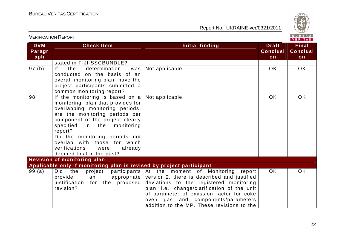

| <u>VLINII IUATIUIVI INLEUINI</u> |                                                                                                                                                                                                                                                                                                                                                                |                                                                                                                                                                                                                                                                                                                                          |                                       | VERITAS                               |
|----------------------------------|----------------------------------------------------------------------------------------------------------------------------------------------------------------------------------------------------------------------------------------------------------------------------------------------------------------------------------------------------------------|------------------------------------------------------------------------------------------------------------------------------------------------------------------------------------------------------------------------------------------------------------------------------------------------------------------------------------------|---------------------------------------|---------------------------------------|
| <b>DVM</b><br>Paragr<br>aph      | <b>Check Item</b>                                                                                                                                                                                                                                                                                                                                              | <b>Initial finding</b>                                                                                                                                                                                                                                                                                                                   | <b>Draft</b><br><b>Conclusi</b><br>on | <b>Final</b><br><b>Conclusi</b><br>on |
|                                  | stated in F-JI-SSCBUNDLE?                                                                                                                                                                                                                                                                                                                                      |                                                                                                                                                                                                                                                                                                                                          |                                       |                                       |
| 97 (b)                           | If.<br>the<br>determination<br>was<br>conducted on the basis of an<br>overall monitoring plan, have the<br>project participants submitted a<br>common monitoring report?                                                                                                                                                                                       | Not applicable                                                                                                                                                                                                                                                                                                                           | <b>OK</b>                             | OK.                                   |
| 98                               | If the monitoring is based on $a$<br>monitoring plan that provides for<br>overlapping monitoring periods,<br>are the monitoring periods per<br>component of the project clearly<br>specified<br>in the monitoring<br>report?<br>Do the monitoring periods not<br>overlap with those for which<br>verifications<br>already<br>were<br>deemed final in the past? | Not applicable                                                                                                                                                                                                                                                                                                                           | <b>OK</b>                             | OK                                    |
|                                  | <b>Revision of monitoring plan</b>                                                                                                                                                                                                                                                                                                                             |                                                                                                                                                                                                                                                                                                                                          |                                       |                                       |
|                                  | Applicable only if monitoring plan is revised by project participant                                                                                                                                                                                                                                                                                           |                                                                                                                                                                                                                                                                                                                                          |                                       |                                       |
| 99(a)                            | Did<br>the<br>project<br>provide<br>an<br>for the proposed<br>justification<br>revision?                                                                                                                                                                                                                                                                       | participants At the moment of Monitoring<br>report<br>appropriate version 2, there is described and justified<br>deviations to the registered monitoring<br>plan, i.e., change/clarification of the unit<br>of parameter of emission factor for coke<br>oven gas and components/parameters<br>addition to the MP. These revisions to the | <b>OK</b>                             | OK                                    |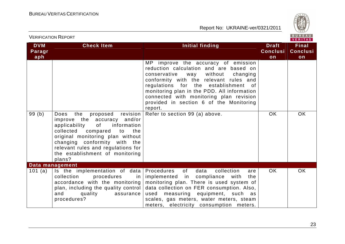

|                             | <b>VERIFICATION REPORT</b>                                                                                                                                                                                                                                                                            |                                                                                                                                                                                                                                                                                                                                                                   |                                       | BUREAU<br><b>VERITAS</b>              |
|-----------------------------|-------------------------------------------------------------------------------------------------------------------------------------------------------------------------------------------------------------------------------------------------------------------------------------------------------|-------------------------------------------------------------------------------------------------------------------------------------------------------------------------------------------------------------------------------------------------------------------------------------------------------------------------------------------------------------------|---------------------------------------|---------------------------------------|
| <b>DVM</b><br>Paragr<br>aph | <b>Check Item</b>                                                                                                                                                                                                                                                                                     | Initial finding                                                                                                                                                                                                                                                                                                                                                   | <b>Draft</b><br><b>Conclusi</b><br>on | <b>Final</b><br><b>Conclusi</b><br>on |
|                             |                                                                                                                                                                                                                                                                                                       | improve the accuracy of emission<br>MP.<br>reduction calculation and are based on<br>conservative<br>without<br>way<br>changing<br>conformity with the relevant rules and<br>regulations for the establishment of<br>monitoring plan in the PDD. All information<br>connected with monitoring plan revision<br>provided in section 6 of the Monitoring<br>report. |                                       |                                       |
| 99(b)                       | the<br>proposed<br>revision<br>Does<br>improve the accuracy and/or<br>applicability<br>0f<br>information<br>collected<br>compared<br>to<br>the<br>original monitoring plan without<br>changing conformity with the<br>relevant rules and regulations for<br>the establishment of monitoring<br>plans? | Refer to section 99 (a) above.                                                                                                                                                                                                                                                                                                                                    | <b>OK</b>                             | <b>OK</b>                             |
|                             | Data management                                                                                                                                                                                                                                                                                       |                                                                                                                                                                                                                                                                                                                                                                   |                                       |                                       |
| 101 (a)                     | Is the implementation of data<br>collection<br>procedures<br>in<br>accordance with the monitoring<br>plan, including the quality control<br>and<br>quality<br>assurance<br>procedures?                                                                                                                | Procedures<br>of<br>data<br>collection<br>are<br>implemented in compliance with<br>the<br>monitoring plan. There is used system of<br>data collection on FER consumption. Also,<br>measuring equipment, such as<br>used<br>scales, gas meters, water meters, steam<br>meters, electricity consumption meters.                                                     | OK.                                   | <b>OK</b>                             |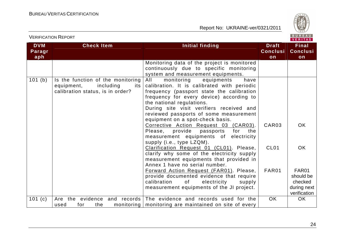

| <b>DVM</b><br>Paragr<br>aph | <b>Check Item</b>                                                                                       | <b>Initial finding</b>                                                                                                                                                                                                                                                                                                                                                                                                           | <b>Draft</b><br><b>Conclusi</b><br>on | Final<br><b>Conclusi</b><br>on                      |
|-----------------------------|---------------------------------------------------------------------------------------------------------|----------------------------------------------------------------------------------------------------------------------------------------------------------------------------------------------------------------------------------------------------------------------------------------------------------------------------------------------------------------------------------------------------------------------------------|---------------------------------------|-----------------------------------------------------|
|                             |                                                                                                         | Monitoring data of the project is monitored<br>continuously due to specific monitoring<br>system and measurement equipments.                                                                                                                                                                                                                                                                                                     |                                       |                                                     |
| 101(b)                      | Is the function of the monitoring<br>including<br>equipment,<br>its<br>calibration status, is in order? | monitoring<br>equipments<br>All<br>have<br>calibration. It is calibrated with periodic<br>frequency (passport state the calibration<br>frequency for every device) according to<br>the national regulations.<br>During site visit verifiers received and<br>reviewed passports of some measurement<br>equipment on a spot-check basis.<br>Corrective Action Request 03 (CAR03).<br>Please,<br>provide<br>passports<br>for<br>the | CAR <sub>03</sub>                     | OK.                                                 |
|                             |                                                                                                         | measurement equipments of electricity<br>supply (i.e., type LZQM).<br>Clarification Request 01 (CL01). Please,<br>clarify why some of the electricity supply<br>measurement equipments that provided in<br>Annex 1 have no serial number.<br>Forward Action Request (FAR01). Please,                                                                                                                                             | CL <sub>01</sub><br>FAR01             | OK.<br>FAR01                                        |
|                             |                                                                                                         | provide documented evidence that require<br>calibration<br>electricity<br>of<br>supply<br>measurement equipments of the JI project.                                                                                                                                                                                                                                                                                              |                                       | should be<br>checked<br>during next<br>verification |
| 101 $(c)$                   | and records<br>the<br>evidence<br>Are<br>the<br>monitoring<br>for<br>used                               | The evidence and records used for the<br>monitoring are maintained on site of every                                                                                                                                                                                                                                                                                                                                              | OK.                                   | OK.                                                 |

VERIFICATION REPORT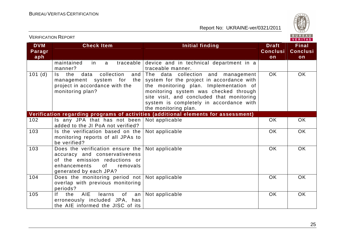

| <b>DVM</b><br>Paragr<br>aph | <b>Check Item</b>                                                                                                                                                                                                                                                           | <b>Initial finding</b>                                                                                                                                                                                                                                                             | <b>Draft</b><br><b>Conclusi</b><br>on | <b>Final</b><br><b>Conclusi</b><br>on |
|-----------------------------|-----------------------------------------------------------------------------------------------------------------------------------------------------------------------------------------------------------------------------------------------------------------------------|------------------------------------------------------------------------------------------------------------------------------------------------------------------------------------------------------------------------------------------------------------------------------------|---------------------------------------|---------------------------------------|
|                             | maintained<br>traceable<br>in.<br>a<br>manner?                                                                                                                                                                                                                              | device and in technical department in a<br>traceable manner.                                                                                                                                                                                                                       |                                       |                                       |
| 101(d)                      | Is the<br>collection<br>data<br>and<br>the<br>management system<br>for<br>project in accordance with the<br>monitoring plan?                                                                                                                                                | The data collection and management<br>system for the project in accordance with<br>the monitoring plan. Implementation of<br>monitoring system was checked through<br>site visit, and concluded that monitoring<br>system is completely in accordance with<br>the monitoring plan. | <b>OK</b>                             | OK                                    |
|                             |                                                                                                                                                                                                                                                                             | Verification regarding programs of activities (additional elements for assessment)                                                                                                                                                                                                 |                                       |                                       |
| 102                         | Is any JPA that has not been<br>added to the JI PoA not verified?                                                                                                                                                                                                           | Not applicable                                                                                                                                                                                                                                                                     | <b>OK</b>                             | OK.                                   |
| 103                         | Is the verification based on the<br>monitoring reports of all JPAs to<br>be verified?                                                                                                                                                                                       | Not applicable                                                                                                                                                                                                                                                                     | <b>OK</b>                             | OK                                    |
| 103                         | Does the verification ensure the<br>accuracy and conservativeness<br>of the emission reductions or<br>enhancements<br>of the contract of the contract of the contract of the contract of the contract of the contract of the contract<br>removals<br>generated by each JPA? | Not applicable                                                                                                                                                                                                                                                                     | <b>OK</b>                             | OK                                    |
| 104                         | Does the monitoring period not<br>overlap with previous monitoring<br>periods?                                                                                                                                                                                              | Not applicable                                                                                                                                                                                                                                                                     | <b>OK</b>                             | OK                                    |
| 105                         | AIE<br>If.<br>the<br>learns<br>of<br>an<br>erroneously included JPA, has<br>the AIE informed the JISC of its                                                                                                                                                                | Not applicable                                                                                                                                                                                                                                                                     | <b>OK</b>                             | OK                                    |

VERIFICATION REPORT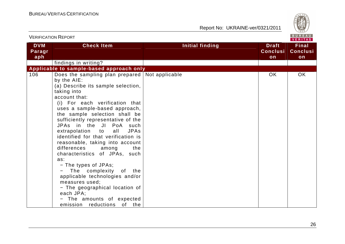

| ו גוש ושגו וישהו חשה ווגוש  |                                                                                                                                                                                                                                                                                                                                                                                                                                                                                                                                                                                                                                                                                                              |                 |                                       |                                       |
|-----------------------------|--------------------------------------------------------------------------------------------------------------------------------------------------------------------------------------------------------------------------------------------------------------------------------------------------------------------------------------------------------------------------------------------------------------------------------------------------------------------------------------------------------------------------------------------------------------------------------------------------------------------------------------------------------------------------------------------------------------|-----------------|---------------------------------------|---------------------------------------|
| <b>DVM</b><br>Paragr<br>aph | <b>Check Item</b>                                                                                                                                                                                                                                                                                                                                                                                                                                                                                                                                                                                                                                                                                            | Initial finding | <b>Draft</b><br><b>Conclusi</b><br>on | <b>Final</b><br><b>Conclusi</b><br>on |
|                             | findings in writing?                                                                                                                                                                                                                                                                                                                                                                                                                                                                                                                                                                                                                                                                                         |                 |                                       |                                       |
|                             | Applicable to sample-based approach only                                                                                                                                                                                                                                                                                                                                                                                                                                                                                                                                                                                                                                                                     |                 |                                       |                                       |
| 106                         | Does the sampling plan prepared<br>by the AIE:<br>(a) Describe its sample selection,<br>taking into<br>account that:<br>(i) For each verification that<br>uses a sample-based approach,<br>the sample selection shall be<br>sufficiently representative of the<br>JPAs in the JI PoA such<br>extrapolation<br><b>JPAs</b><br>to<br>all<br>identified for that verification is<br>reasonable, taking into account<br>differences<br>among<br>the<br>characteristics of JPAs, such<br>as:<br>- The types of JPAs;<br>The complexity<br>of the<br>applicable technologies and/or<br>measures used;<br>- The geographical location of<br>each JPA;<br>- The amounts of expected<br>emission reductions<br>of the | Not applicable  | <b>OK</b>                             | OK.                                   |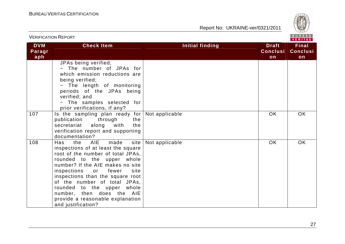

| <b>VERIFICATION REPORT</b>  |                                                                                                                                                                                                                                                                                                                                                                                                            |                        | BUREAU<br>VERITAS                     |                                       |  |
|-----------------------------|------------------------------------------------------------------------------------------------------------------------------------------------------------------------------------------------------------------------------------------------------------------------------------------------------------------------------------------------------------------------------------------------------------|------------------------|---------------------------------------|---------------------------------------|--|
| <b>DVM</b><br>Paragr<br>aph | <b>Check Item</b>                                                                                                                                                                                                                                                                                                                                                                                          | <b>Initial finding</b> | <b>Draft</b><br><b>Conclusi</b><br>on | <b>Final</b><br><b>Conclusi</b><br>on |  |
|                             | JPAs being verified;<br>- The number of JPAs for<br>which emission reductions are<br>being verified;<br>The length of monitoring<br>periods of the JPAs being<br>verified; and<br>- The samples selected for<br>prior verifications, if any?                                                                                                                                                               |                        |                                       |                                       |  |
| 107                         | Is the sampling plan ready for Not applicable<br>publication<br>through<br>the<br>along<br>with<br>the<br>secretariat<br>verification report and supporting<br>documentation?                                                                                                                                                                                                                              |                        | <b>OK</b>                             | <b>OK</b>                             |  |
| 108                         | the AIE<br>made<br>Has<br>site<br>inspections of at least the square<br>root of the number of total JPAs,<br>rounded to the upper whole<br>number? If the AIE makes no site<br>inspections<br>fewer<br>site<br>or<br>inspections than the square root<br>of the number of total JPAs,<br>rounded to the upper whole<br>number, then does the AIE<br>provide a reasonable explanation<br>and justification? | Not applicable         | <b>OK</b>                             | OK                                    |  |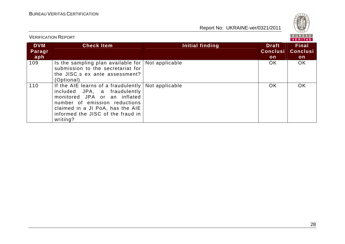

#### BUREAU<br>VERITAS VERIFICATION REPORT**DVM Check Item Initial finding Check Item Initial finding Check Item Initial finding Final Paragr Conclusi Conclusiaph onon**  $\overline{OK}$  $\overline{OK}$ 109 | Is the sampling plan available for | Not applicable OK | OK submission to the secretariat for the JISC.s ex ante assessment? (Optional) Not applicable OK OK OK 110 | If the AIE learns of a fraudulently included JPA, a fraudulently monitored JPA or an inflated number of emission reductions claimed in a JI PoA, has the AIE informed the JISC of the fraud in writing?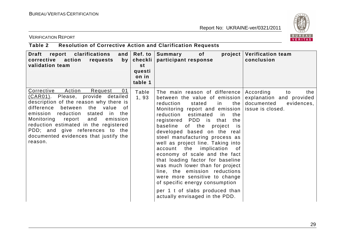

VERIFICATION REPORT

## **Table 2 Resolution of Corrective Action and Clarification Requests**

| Draft<br>report<br>clarifications<br>and $\vert$<br>corrective action<br>requests<br>by <sub>1</sub><br>validation team                                                                                                                                                                                                                                                         | Ref. to<br>checkli  <br>st<br>questi<br>on in<br>table 1 | Summary<br><b>of</b><br>project<br>participant response                                                                                                                                                                                                                                                                                                                                                                                                                                                                                                                                                                                                                                         | <b>Verification team</b><br>conclusion                                         |
|---------------------------------------------------------------------------------------------------------------------------------------------------------------------------------------------------------------------------------------------------------------------------------------------------------------------------------------------------------------------------------|----------------------------------------------------------|-------------------------------------------------------------------------------------------------------------------------------------------------------------------------------------------------------------------------------------------------------------------------------------------------------------------------------------------------------------------------------------------------------------------------------------------------------------------------------------------------------------------------------------------------------------------------------------------------------------------------------------------------------------------------------------------------|--------------------------------------------------------------------------------|
| Action<br>Corrective<br>01<br>Request<br>(CAR01). Please, provide detailed<br>description of the reason why there is<br>difference between<br>the value<br>0f<br>emission reduction<br>stated<br>in the<br>Monitoring report<br>and<br>emission<br>reduction estimated in the registered<br>PDD; and give references to the<br>documented evidences that justify the<br>reason. | Table<br>1,93                                            | The main reason of difference<br>between the value of emission<br>stated<br>in<br>the<br>reduction<br>Monitoring report and emission (issue is closed.<br>reduction<br>estimated in<br>the<br>registered PDD is that<br>the<br>baseline<br>of the<br>project<br>is is<br>developed based on the real<br>steel manufacturing process as<br>well as project line. Taking into<br>implication<br>account the<br>of<br>economy of scale and the fact<br>that loading factor for baseline<br>was much lower than for project<br>line, the emission reductions<br>were more sensitive to change<br>of specific energy consumption<br>per 1 t of slabs produced than<br>actually envisaged in the PDD. | According<br>the<br>to<br>explanation and provided<br>documented<br>evidences, |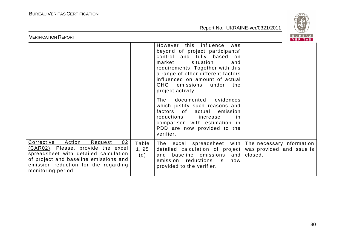

| BUREAU<br><b>VERIFICATION REPORT</b><br>VERITAS                                                                                                                                                                             |                       |                                                                                                                                                                                                                                                                                                                                                                                                                                                                                                                               |         |
|-----------------------------------------------------------------------------------------------------------------------------------------------------------------------------------------------------------------------------|-----------------------|-------------------------------------------------------------------------------------------------------------------------------------------------------------------------------------------------------------------------------------------------------------------------------------------------------------------------------------------------------------------------------------------------------------------------------------------------------------------------------------------------------------------------------|---------|
|                                                                                                                                                                                                                             |                       | this influence<br>However<br>was<br>beyond of project participants'<br>and fully based<br>control<br>on<br>market<br>situation<br>and<br>requirements. Together with this<br>a range of other different factors<br>influenced on amount of actual<br>GHG emissions<br>the<br>under<br>project activity.<br>documented<br>evidences<br>The<br>which justify such reasons and<br>factors of actual emission<br>reductions<br>increase<br><i>in</i><br>comparison with estimation in<br>PDD are now provided to the<br>verifier. |         |
| Corrective<br>Action<br>02<br>Request<br>(CAR02). Please, provide the excel<br>spreadsheet with detailed calculation<br>of project and baseline emissions and<br>emission reduction for the regarding<br>monitoring period. | Table<br>1, 95<br>(d) | The excel spreadsheet with The necessary information<br>detailed calculation of project   was provided, and issue is<br>baseline emissions and<br>and<br>emission reductions is<br>now<br>provided to the verifier.                                                                                                                                                                                                                                                                                                           | closed. |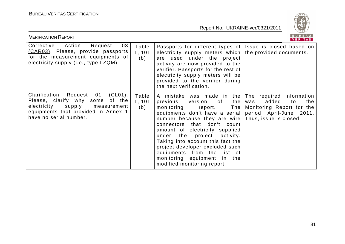

| BUREAU<br><b>VERIFICATION REPORT</b><br><b>VERITAS</b>                                                                                                                                      |                        |                                                                                                                                                                                                                                                                                                                                                                                                                                                               |                                                                                                                 |
|---------------------------------------------------------------------------------------------------------------------------------------------------------------------------------------------|------------------------|---------------------------------------------------------------------------------------------------------------------------------------------------------------------------------------------------------------------------------------------------------------------------------------------------------------------------------------------------------------------------------------------------------------------------------------------------------------|-----------------------------------------------------------------------------------------------------------------|
| Corrective<br>Action<br>03<br>Request<br>(CAR03). Please, provide passports<br>for the measurement equipments of<br>electricity supply (i.e., type LZQM).                                   | Table<br>1, 101<br>(b) | Passports for different types of Issue is closed based on<br>electricity supply meters which<br>are used under the project<br>activity are now provided to the<br>verifier. Passports for the rest of<br>electricity supply meters will be<br>provided to the verifier during<br>the next verification.                                                                                                                                                       | the provided documents.                                                                                         |
| $(CLO1)$ .<br>Clarification<br>Request<br>01<br>some of the<br>Please, clarify why<br>electricity<br>supply<br>measurement<br>equipments that provided in Annex 1<br>have no serial number. | Table<br>1, 101<br>(b) | A mistake was made in the The<br>the  <br>previous version of<br>monitoring<br>report.<br>equipments don't have a serial<br>number because they are wire Thus, issue is closed.<br>that don't count<br>connectors<br>amount of electricity supplied<br>under the<br>project<br>activity.<br>Taking into account this fact the<br>project developer excluded such<br>equipments from the list of<br>monitoring equipment in the<br>modified monitoring report. | required information<br>added<br>the<br>was<br>to<br>The   Monitoring Report for the<br>period April-June 2011. |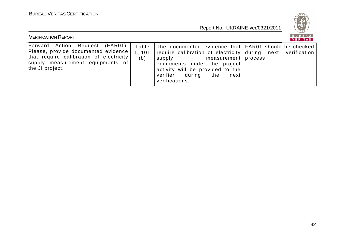

| <b>VERIFICATION REPORT</b>                                                                                                                                               |                        |                                                                                                                                                                                                                                                                                    | BUREAU<br>VERITAS |
|--------------------------------------------------------------------------------------------------------------------------------------------------------------------------|------------------------|------------------------------------------------------------------------------------------------------------------------------------------------------------------------------------------------------------------------------------------------------------------------------------|-------------------|
| Forward Action Request (FAR01).<br>Please, provide documented evidence<br>that require calibration of electricity<br>supply measurement equipments of<br>the JI project. | Table<br>1, 101<br>(b) | The documented evidence that FAR01 should be checked<br>require calibration of electricity during next verification<br>supply<br>measurement   process.<br>equipments under the project<br>activity will be provided to the<br>during<br>verifier<br>the<br>next<br>verifications. |                   |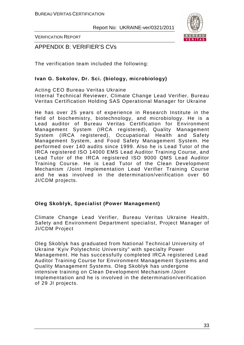

VERIFICATION REPORT

APPENDIX B: VERIFIER'S CVs

The verification team included the following:

### **Ivan G. Sokolov, Dr. Sci. (biology, microbiology)**

Acting CEO Bureau Veritas Ukraine Internal Technical Reviewer, Climate Change Lead Verifier, Bureau Veritas Certification Holding SAS Operational Manager for Ukraine

He has over 25 years of experience in Research Institute in the field of biochemistry, biotechnology, and microbiology. He is a Lead auditor of Bureau Veritas Certification for Environment Management System (IRCA registered), Quality Management System (IRCA registered), Occupational Health and Safety Management System, and Food Safety Management System. He performed over 140 audits since 1999. Also he is Lead Tutor of the IRCA registered ISO 14000 EMS Lead Auditor Training Course, and Lead Tutor of the IRCA registered ISO 9000 QMS Lead Auditor Training Course. He is Lead Tutor of the Clean Development Mechanism /Joint Implementation Lead Verifier Training Course and he was involved in the determination/verification over 60 JI/CDM projects.

#### **Oleg Skoblyk, Specialist (Power Management)**

Climate Change Lead Verifier, Bureau Veritas Ukraine Health, Safety and Environment Department specialist, Project Manager of JI/CDM Project

Oleg Skoblyk has graduated from National Technical University of Ukraine 'Kyiv Polytechnic University" with specialty Power Management. He has successfully completed IRCA registered Lead Auditor Training Course for Environment Management Systems and Quality Management Systems. Oleg Skoblyk has undergone intensive training on Clean Development Mechanism /Joint Implementation and he is involved in the determination/verification of 29 JI projects.